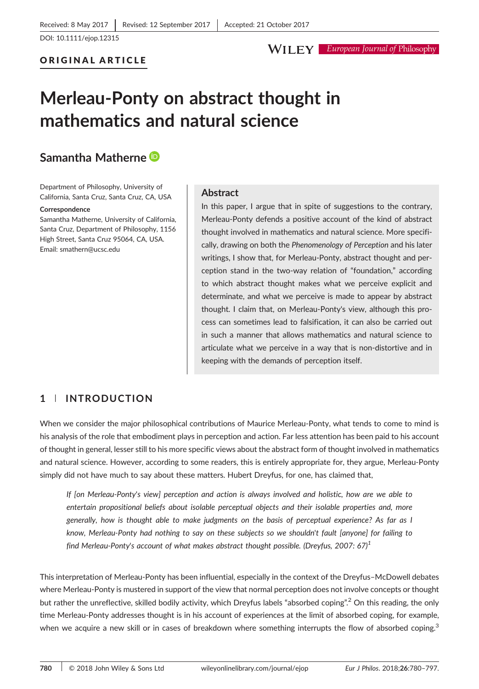[DOI: 10.1111/ejop.12315](https://doi.org/10.1111/ejop.12315)

## ORIGINAL ARTICLE

#### **WILEY** European Journal of Philosophy

# Merleau‐Ponty on abstract thought in mathematics and natural science

# Samantha Matherne

Department of Philosophy, University of California, Santa Cruz, Santa Cruz, CA, USA

#### **Correspondence**

Samantha Matherne, University of California, Santa Cruz, Department of Philosophy, 1156 High Street, Santa Cruz 95064, CA, USA. Email: [smathern@ucsc.edu](mailto:smathern@ucsc.edu)

### Abstract

In this paper, I argue that in spite of suggestions to the contrary, Merleau‐Ponty defends a positive account of the kind of abstract thought involved in mathematics and natural science. More specifically, drawing on both the Phenomenology of Perception and his later writings, I show that, for Merleau‐Ponty, abstract thought and perception stand in the two‐way relation of "foundation," according to which abstract thought makes what we perceive explicit and determinate, and what we perceive is made to appear by abstract thought. I claim that, on Merleau‐Ponty's view, although this process can sometimes lead to falsification, it can also be carried out in such a manner that allows mathematics and natural science to articulate what we perceive in a way that is non-distortive and in keeping with the demands of perception itself.

# 1 | INTRODUCTION

When we consider the major philosophical contributions of Maurice Merleau-Ponty, what tends to come to mind is his analysis of the role that embodiment plays in perception and action. Far less attention has been paid to his account of thought in general, lesser still to his more specific views about the abstract form of thought involved in mathematics and natural science. However, according to some readers, this is entirely appropriate for, they argue, Merleau‐Ponty simply did not have much to say about these matters. Hubert Dreyfus, for one, has claimed that,

If [on Merleau‐Ponty's view] perception and action is always involved and holistic, how are we able to entertain propositional beliefs about isolable perceptual objects and their isolable properties and, more generally, how is thought able to make judgments on the basis of perceptual experience? As far as I know, Merleau-Ponty had nothing to say on these subjects so we shouldn't fault [anyone] for failing to find Merleau-Ponty's account of what makes abstract thought possible. (Dreyfus, 2007: 67)<sup>1</sup>

This interpretation of Merleau‐Ponty has been influential, especially in the context of the Dreyfus–McDowell debates where Merleau-Ponty is mustered in support of the view that normal perception does not involve concepts or thought but rather the unreflective, skilled bodily activity, which Dreyfus labels "absorbed coping".<sup>2</sup> On this reading, the only time Merleau-Ponty addresses thought is in his account of experiences at the limit of absorbed coping, for example, when we acquire a new skill or in cases of breakdown where something interrupts the flow of absorbed coping.<sup>3</sup>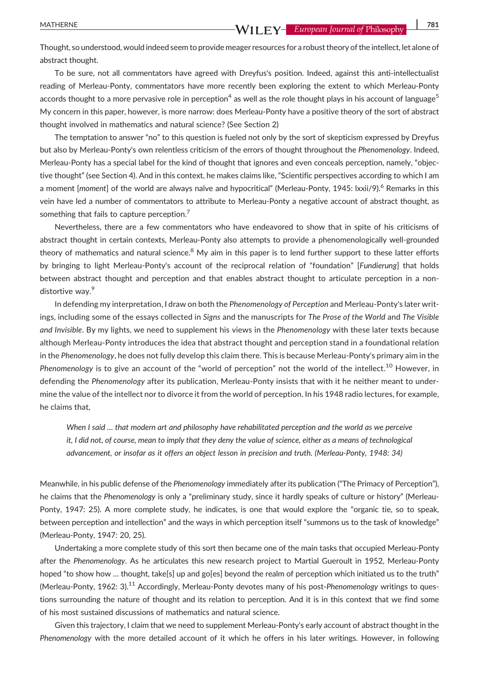Thought, so understood, would indeed seem to provide meager resources for a robust theory of the intellect, let alone of abstract thought.

To be sure, not all commentators have agreed with Dreyfus's position. Indeed, against this anti‐intellectualist reading of Merleau‐Ponty, commentators have more recently been exploring the extent to which Merleau‐Ponty accords thought to a more pervasive role in perception<sup>4</sup> as well as the role thought plays in his account of language<sup>5</sup> My concern in this paper, however, is more narrow: does Merleau‐Ponty have a positive theory of the sort of abstract thought involved in mathematics and natural science? (See Section 2)

The temptation to answer "no" to this question is fueled not only by the sort of skepticism expressed by Dreyfus but also by Merleau‐Ponty's own relentless criticism of the errors of thought throughout the Phenomenology. Indeed, Merleau-Ponty has a special label for the kind of thought that ignores and even conceals perception, namely, "objective thought" (see Section 4). And in this context, he makes claims like, "Scientific perspectives according to which I am a moment [moment] of the world are always naïve and hypocritical" (Merleau-Ponty, 1945: lxxii/9).<sup>6</sup> Remarks in this vein have led a number of commentators to attribute to Merleau‐Ponty a negative account of abstract thought, as something that fails to capture perception.<sup>7</sup>

Nevertheless, there are a few commentators who have endeavored to show that in spite of his criticisms of abstract thought in certain contexts, Merleau‐Ponty also attempts to provide a phenomenologically well‐grounded theory of mathematics and natural science.<sup>8</sup> My aim in this paper is to lend further support to these latter efforts by bringing to light Merleau-Ponty's account of the reciprocal relation of "foundation" [Fundierung] that holds between abstract thought and perception and that enables abstract thought to articulate perception in a nondistortive way.<sup>9</sup>

In defending my interpretation, I draw on both the Phenomenology of Perception and Merleau-Ponty's later writings, including some of the essays collected in Signs and the manuscripts for The Prose of the World and The Visible and Invisible. By my lights, we need to supplement his views in the Phenomenology with these later texts because although Merleau‐Ponty introduces the idea that abstract thought and perception stand in a foundational relation in the Phenomenology, he does not fully develop this claim there. This is because Merleau-Ponty's primary aim in the Phenomenology is to give an account of the "world of perception" not the world of the intellect.<sup>10</sup> However, in defending the Phenomenology after its publication, Merleau‐Ponty insists that with it he neither meant to undermine the value of the intellect nor to divorce it from the world of perception. In his 1948 radio lectures, for example, he claims that,

When I said ... that modern art and philosophy have rehabilitated perception and the world as we perceive it, I did not, of course, mean to imply that they deny the value of science, either as a means of technological advancement, or insofar as it offers an object lesson in precision and truth. (Merleau‐Ponty, 1948: 34)

Meanwhile, in his public defense of the Phenomenology immediately after its publication ("The Primacy of Perception"), he claims that the Phenomenology is only a "preliminary study, since it hardly speaks of culture or history" (Merleau-Ponty, 1947: 25). A more complete study, he indicates, is one that would explore the "organic tie, so to speak, between perception and intellection" and the ways in which perception itself "summons us to the task of knowledge" (Merleau‐Ponty, 1947: 20, 25).

Undertaking a more complete study of this sort then became one of the main tasks that occupied Merleau‐Ponty after the Phenomenology. As he articulates this new research project to Martial Gueroult in 1952, Merleau‐Ponty hoped "to show how ... thought, take[s] up and go[es] beyond the realm of perception which initiated us to the truth" (Merleau-Ponty, 1962: 3).<sup>11</sup> Accordingly, Merleau-Ponty devotes many of his post-Phenomenology writings to questions surrounding the nature of thought and its relation to perception. And it is in this context that we find some of his most sustained discussions of mathematics and natural science.

Given this trajectory, I claim that we need to supplement Merleau-Ponty's early account of abstract thought in the Phenomenology with the more detailed account of it which he offers in his later writings. However, in following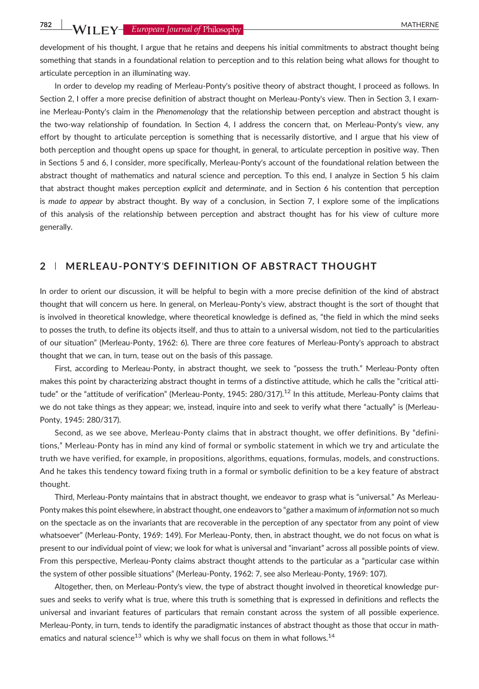# **782 WII FY** European Journal of Philosophy

development of his thought, I argue that he retains and deepens his initial commitments to abstract thought being something that stands in a foundational relation to perception and to this relation being what allows for thought to articulate perception in an illuminating way.

In order to develop my reading of Merleau-Ponty's positive theory of abstract thought, I proceed as follows. In Section 2, I offer a more precise definition of abstract thought on Merleau-Ponty's view. Then in Section 3, I examine Merleau‐Ponty's claim in the Phenomenology that the relationship between perception and abstract thought is the two-way relationship of foundation. In Section 4, I address the concern that, on Merleau-Ponty's view, any effort by thought to articulate perception is something that is necessarily distortive, and I argue that his view of both perception and thought opens up space for thought, in general, to articulate perception in positive way. Then in Sections 5 and 6, I consider, more specifically, Merleau‐Ponty's account of the foundational relation between the abstract thought of mathematics and natural science and perception. To this end, I analyze in Section 5 his claim that abstract thought makes perception explicit and determinate, and in Section 6 his contention that perception is made to appear by abstract thought. By way of a conclusion, in Section 7, I explore some of the implications of this analysis of the relationship between perception and abstract thought has for his view of culture more generally.

### 2 | MERLEAU‐PONTY'S DEFINITION OF ABSTRACT THOUGHT

In order to orient our discussion, it will be helpful to begin with a more precise definition of the kind of abstract thought that will concern us here. In general, on Merleau‐Ponty's view, abstract thought is the sort of thought that is involved in theoretical knowledge, where theoretical knowledge is defined as, "the field in which the mind seeks to posses the truth, to define its objects itself, and thus to attain to a universal wisdom, not tied to the particularities of our situation" (Merleau‐Ponty, 1962: 6). There are three core features of Merleau‐Ponty's approach to abstract thought that we can, in turn, tease out on the basis of this passage.

First, according to Merleau‐Ponty, in abstract thought, we seek to "possess the truth." Merleau‐Ponty often makes this point by characterizing abstract thought in terms of a distinctive attitude, which he calls the "critical attitude" or the "attitude of verification" (Merleau-Ponty, 1945: 280/317).<sup>12</sup> In this attitude, Merleau-Ponty claims that we do not take things as they appear; we, instead, inquire into and seek to verify what there "actually" is (Merleau-Ponty, 1945: 280/317).

Second, as we see above, Merleau‐Ponty claims that in abstract thought, we offer definitions. By "definitions," Merleau‐Ponty has in mind any kind of formal or symbolic statement in which we try and articulate the truth we have verified, for example, in propositions, algorithms, equations, formulas, models, and constructions. And he takes this tendency toward fixing truth in a formal or symbolic definition to be a key feature of abstract thought.

Third, Merleau‐Ponty maintains that in abstract thought, we endeavor to grasp what is "universal." As Merleau‐ Ponty makes this point elsewhere, in abstract thought, one endeavors to "gather a maximum of information not so much on the spectacle as on the invariants that are recoverable in the perception of any spectator from any point of view whatsoever" (Merleau-Ponty, 1969: 149). For Merleau-Ponty, then, in abstract thought, we do not focus on what is present to our individual point of view; we look for what is universal and "invariant" across all possible points of view. From this perspective, Merleau-Ponty claims abstract thought attends to the particular as a "particular case within the system of other possible situations" (Merleau‐Ponty, 1962: 7, see also Merleau‐Ponty, 1969: 107).

Altogether, then, on Merleau‐Ponty's view, the type of abstract thought involved in theoretical knowledge pursues and seeks to verify what is true, where this truth is something that is expressed in definitions and reflects the universal and invariant features of particulars that remain constant across the system of all possible experience. Merleau-Ponty, in turn, tends to identify the paradigmatic instances of abstract thought as those that occur in mathematics and natural science<sup>13</sup> which is why we shall focus on them in what follows.<sup>14</sup>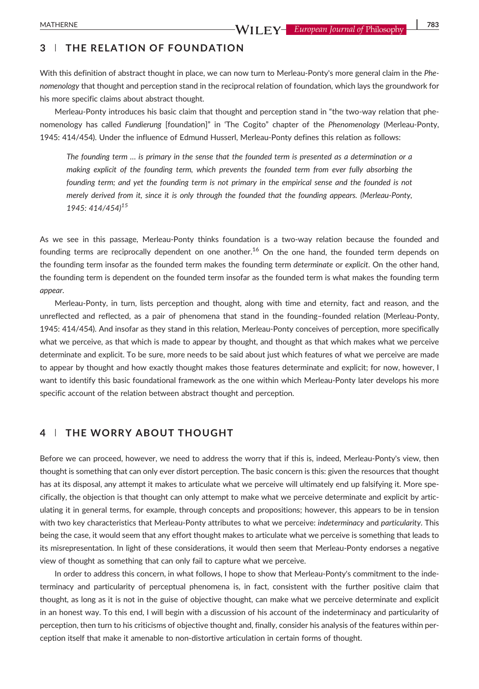# 3 | THE RELATION OF FOUNDATION

With this definition of abstract thought in place, we can now turn to Merleau-Ponty's more general claim in the Phenomenology that thought and perception stand in the reciprocal relation of foundation, which lays the groundwork for his more specific claims about abstract thought.

Merleau-Ponty introduces his basic claim that thought and perception stand in "the two-way relation that phenomenology has called Fundierung [foundation]" in 'The Cogito" chapter of the Phenomenology (Merleau‐Ponty, 1945: 414/454). Under the influence of Edmund Husserl, Merleau‐Ponty defines this relation as follows:

The founding term … is primary in the sense that the founded term is presented as a determination or a making explicit of the founding term, which prevents the founded term from ever fully absorbing the founding term; and yet the founding term is not primary in the empirical sense and the founded is not merely derived from it, since it is only through the founded that the founding appears. (Merleau‐Ponty, 1945: 414/454)<sup>15</sup>

As we see in this passage, Merleau-Ponty thinks foundation is a two-way relation because the founded and founding terms are reciprocally dependent on one another.<sup>16</sup> On the one hand, the founded term depends on the founding term insofar as the founded term makes the founding term *determinate* or *explicit*. On the other hand, the founding term is dependent on the founded term insofar as the founded term is what makes the founding term appear.

Merleau‐Ponty, in turn, lists perception and thought, along with time and eternity, fact and reason, and the unreflected and reflected, as a pair of phenomena that stand in the founding–founded relation (Merleau‐Ponty, 1945: 414/454). And insofar as they stand in this relation, Merleau‐Ponty conceives of perception, more specifically what we perceive, as that which is made to appear by thought, and thought as that which makes what we perceive determinate and explicit. To be sure, more needs to be said about just which features of what we perceive are made to appear by thought and how exactly thought makes those features determinate and explicit; for now, however, I want to identify this basic foundational framework as the one within which Merleau-Ponty later develops his more specific account of the relation between abstract thought and perception.

# 4 | THE WORRY ABOUT THOUGHT

Before we can proceed, however, we need to address the worry that if this is, indeed, Merleau‐Ponty's view, then thought is something that can only ever distort perception. The basic concern is this: given the resources that thought has at its disposal, any attempt it makes to articulate what we perceive will ultimately end up falsifying it. More specifically, the objection is that thought can only attempt to make what we perceive determinate and explicit by articulating it in general terms, for example, through concepts and propositions; however, this appears to be in tension with two key characteristics that Merleau-Ponty attributes to what we perceive: indeterminacy and particularity. This being the case, it would seem that any effort thought makes to articulate what we perceive is something that leads to its misrepresentation. In light of these considerations, it would then seem that Merleau‐Ponty endorses a negative view of thought as something that can only fail to capture what we perceive.

In order to address this concern, in what follows, I hope to show that Merleau‐Ponty's commitment to the indeterminacy and particularity of perceptual phenomena is, in fact, consistent with the further positive claim that thought, as long as it is not in the guise of objective thought, can make what we perceive determinate and explicit in an honest way. To this end, I will begin with a discussion of his account of the indeterminacy and particularity of perception, then turn to his criticisms of objective thought and, finally, consider his analysis of the features within perception itself that make it amenable to non‐distortive articulation in certain forms of thought.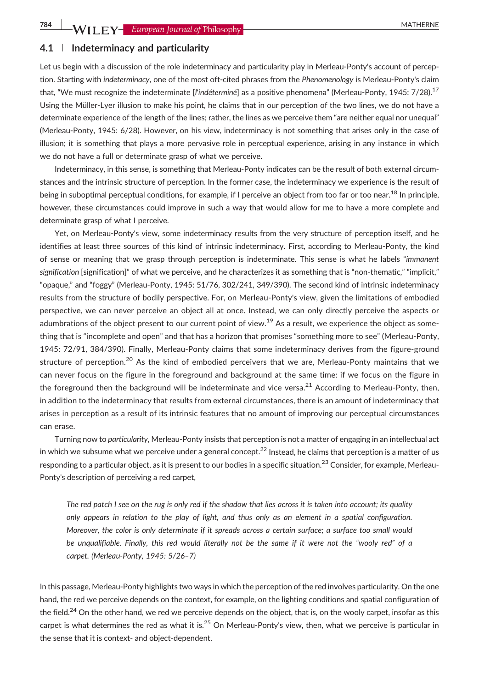#### 4.1 | Indeterminacy and particularity

Let us begin with a discussion of the role indeterminacy and particularity play in Merleau-Ponty's account of perception. Starting with indeterminacy, one of the most oft-cited phrases from the Phenomenology is Merleau-Ponty's claim that, "We must recognize the indeterminate [l'indéterminé] as a positive phenomena" (Merleau-Ponty, 1945: 7/28).<sup>17</sup> Using the Müller‐Lyer illusion to make his point, he claims that in our perception of the two lines, we do not have a determinate experience of the length of the lines; rather, the lines as we perceive them "are neither equal nor unequal" (Merleau‐Ponty, 1945: 6/28). However, on his view, indeterminacy is not something that arises only in the case of illusion; it is something that plays a more pervasive role in perceptual experience, arising in any instance in which we do not have a full or determinate grasp of what we perceive.

Indeterminacy, in this sense, is something that Merleau‐Ponty indicates can be the result of both external circumstances and the intrinsic structure of perception. In the former case, the indeterminacy we experience is the result of being in suboptimal perceptual conditions, for example, if I perceive an object from too far or too near.<sup>18</sup> In principle, however, these circumstances could improve in such a way that would allow for me to have a more complete and determinate grasp of what I perceive.

Yet, on Merleau-Ponty's view, some indeterminacy results from the very structure of perception itself, and he identifies at least three sources of this kind of intrinsic indeterminacy. First, according to Merleau‐Ponty, the kind of sense or meaning that we grasp through perception is indeterminate. This sense is what he labels "immanent signification [signification]" of what we perceive, and he characterizes it as something that is "non-thematic," "implicit," "opaque," and "foggy" (Merleau‐Ponty, 1945: 51/76, 302/241, 349/390). The second kind of intrinsic indeterminacy results from the structure of bodily perspective. For, on Merleau‐Ponty's view, given the limitations of embodied perspective, we can never perceive an object all at once. Instead, we can only directly perceive the aspects or adumbrations of the object present to our current point of view.<sup>19</sup> As a result, we experience the object as something that is "incomplete and open" and that has a horizon that promises "something more to see" (Merleau‐Ponty, 1945: 72/91, 384/390). Finally, Merleau‐Ponty claims that some indeterminacy derives from the figure‐ground structure of perception.<sup>20</sup> As the kind of embodied perceivers that we are, Merleau-Ponty maintains that we can never focus on the figure in the foreground and background at the same time: if we focus on the figure in the foreground then the background will be indeterminate and vice versa.<sup>21</sup> According to Merleau-Ponty, then, in addition to the indeterminacy that results from external circumstances, there is an amount of indeterminacy that arises in perception as a result of its intrinsic features that no amount of improving our perceptual circumstances can erase.

Turning now to particularity, Merleau-Ponty insists that perception is not a matter of engaging in an intellectual act in which we subsume what we perceive under a general concept.<sup>22</sup> Instead, he claims that perception is a matter of us responding to a particular object, as it is present to our bodies in a specific situation.<sup>23</sup> Consider, for example, Merleau-Ponty's description of perceiving a red carpet,

The red patch I see on the rug is only red if the shadow that lies across it is taken into account; its quality only appears in relation to the play of light, and thus only as an element in a spatial configuration. Moreover, the color is only determinate if it spreads across a certain surface; a surface too small would be unqualifiable. Finally, this red would literally not be the same if it were not the "wooly red" of a carpet. (Merleau‐Ponty, 1945: 5/26–7)

In this passage, Merleau‐Ponty highlights two ways in which the perception of the red involves particularity. On the one hand, the red we perceive depends on the context, for example, on the lighting conditions and spatial configuration of the field.<sup>24</sup> On the other hand, we red we perceive depends on the object, that is, on the wooly carpet, insofar as this carpet is what determines the red as what it is. $^{25}$  On Merleau-Ponty's view, then, what we perceive is particular in the sense that it is context‐ and object‐dependent.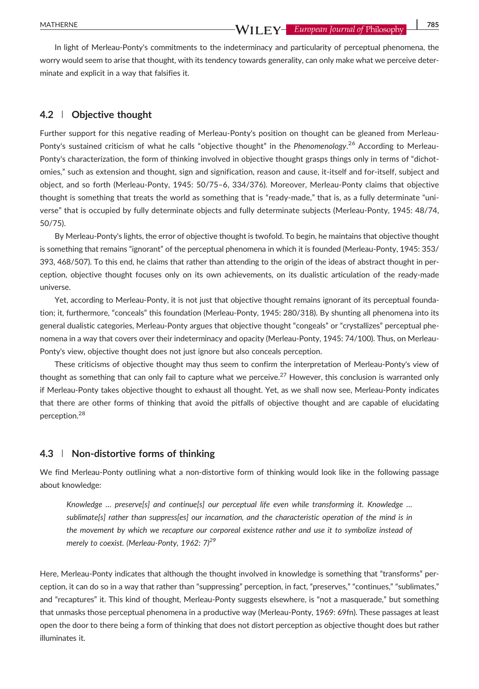In light of Merleau-Ponty's commitments to the indeterminacy and particularity of perceptual phenomena, the worry would seem to arise that thought, with its tendency towards generality, can only make what we perceive determinate and explicit in a way that falsifies it.

#### 4.2 | Objective thought

Further support for this negative reading of Merleau‐Ponty's position on thought can be gleaned from Merleau‐ Ponty's sustained criticism of what he calls "objective thought" in the Phenomenology.<sup>26</sup> According to Merleau-Ponty's characterization, the form of thinking involved in objective thought grasps things only in terms of "dichotomies," such as extension and thought, sign and signification, reason and cause, it‐itself and for‐itself, subject and object, and so forth (Merleau‐Ponty, 1945: 50/75–6, 334/376). Moreover, Merleau‐Ponty claims that objective thought is something that treats the world as something that is "ready‐made," that is, as a fully determinate "universe" that is occupied by fully determinate objects and fully determinate subjects (Merleau‐Ponty, 1945: 48/74, 50/75).

By Merleau‐Ponty's lights, the error of objective thought is twofold. To begin, he maintains that objective thought is something that remains "ignorant" of the perceptual phenomena in which it is founded (Merleau‐Ponty, 1945: 353/ 393, 468/507). To this end, he claims that rather than attending to the origin of the ideas of abstract thought in perception, objective thought focuses only on its own achievements, on its dualistic articulation of the ready‐made universe.

Yet, according to Merleau‐Ponty, it is not just that objective thought remains ignorant of its perceptual foundation; it, furthermore, "conceals" this foundation (Merleau‐Ponty, 1945: 280/318). By shunting all phenomena into its general dualistic categories, Merleau‐Ponty argues that objective thought "congeals" or "crystallizes" perceptual phenomena in a way that covers over their indeterminacy and opacity (Merleau-Ponty, 1945: 74/100). Thus, on Merleau-Ponty's view, objective thought does not just ignore but also conceals perception.

These criticisms of objective thought may thus seem to confirm the interpretation of Merleau‐Ponty's view of thought as something that can only fail to capture what we perceive.<sup>27</sup> However, this conclusion is warranted only if Merleau‐Ponty takes objective thought to exhaust all thought. Yet, as we shall now see, Merleau‐Ponty indicates that there are other forms of thinking that avoid the pitfalls of objective thought and are capable of elucidating perception.28

#### 4.3 | Non-distortive forms of thinking

We find Merleau-Ponty outlining what a non-distortive form of thinking would look like in the following passage about knowledge:

Knowledge ... preserve[s] and continue[s] our perceptual life even while transforming it. Knowledge ... sublimate[s] rather than suppress[es] our incarnation, and the characteristic operation of the mind is in the movement by which we recapture our corporeal existence rather and use it to symbolize instead of merely to coexist. (Merleau-Ponty, 1962: 7)<sup>29</sup>

Here, Merleau‐Ponty indicates that although the thought involved in knowledge is something that "transforms" perception, it can do so in a way that rather than "suppressing" perception, in fact, "preserves," "continues," "sublimates," and "recaptures" it. This kind of thought, Merleau‐Ponty suggests elsewhere, is "not a masquerade," but something that unmasks those perceptual phenomena in a productive way (Merleau‐Ponty, 1969: 69fn). These passages at least open the door to there being a form of thinking that does not distort perception as objective thought does but rather illuminates it.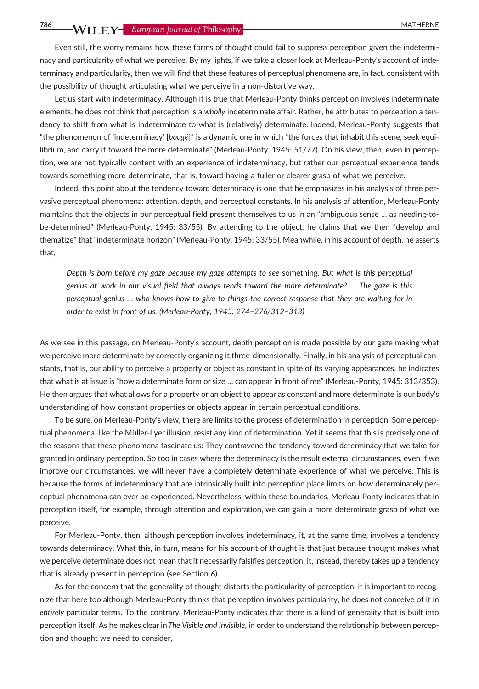786 WII FY- European Journal of Philosophy

Even still, the worry remains how these forms of thought could fail to suppress perception given the indeterminacy and particularity of what we perceive. By my lights, if we take a closer look at Merleau-Ponty's account of indeterminacy and particularity, then we will find that these features of perceptual phenomena are, in fact, consistent with the possibility of thought articulating what we perceive in a non-distortive way.

Let us start with indeterminacy. Although it is true that Merleau-Ponty thinks perception involves indeterminate elements, he does not think that perception is a wholly indeterminate affair. Rather, he attributes to perception a tendency to shift from what is indeterminate to what is (relatively) determinate. Indeed, Merleau‐Ponty suggests that "the phenomenon of 'indeterminacy' [bougé]" is a dynamic one in which "the forces that inhabit this scene, seek equilibrium, and carry it toward the more determinate" (Merleau‐Ponty, 1945: 51/77). On his view, then, even in perception, we are not typically content with an experience of indeterminacy, but rather our perceptual experience tends towards something more determinate, that is, toward having a fuller or clearer grasp of what we perceive.

Indeed, this point about the tendency toward determinacy is one that he emphasizes in his analysis of three pervasive perceptual phenomena: attention, depth, and perceptual constants. In his analysis of attention, Merleau‐Ponty maintains that the objects in our perceptual field present themselves to us in an "ambiguous sense ... as needing-tobe-determined" (Merleau-Ponty, 1945: 33/55). By attending to the object, he claims that we then "develop and thematize" that "indeterminate horizon" (Merleau‐Ponty, 1945: 33/55). Meanwhile, in his account of depth, he asserts that,

Depth is born before my gaze because my gaze attempts to see something. But what is this perceptual genius at work in our visual field that always tends toward the more determinate? … The gaze is this perceptual genius … who knows how to give to things the correct response that they are waiting for in order to exist in front of us. (Merleau‐Ponty, 1945: 274–276/312–313)

As we see in this passage, on Merleau‐Ponty's account, depth perception is made possible by our gaze making what we perceive more determinate by correctly organizing it three-dimensionally. Finally, in his analysis of perceptual constants, that is, our ability to perceive a property or object as constant in spite of its varying appearances, he indicates that what is at issue is "how a determinate form or size … can appear in front of me" (Merleau‐Ponty, 1945: 313/353). He then argues that what allows for a property or an object to appear as constant and more determinate is our body's understanding of how constant properties or objects appear in certain perceptual conditions.

To be sure, on Merleau‐Ponty's view, there are limits to the process of determination in perception. Some perceptual phenomena, like the Müller‐Lyer illusion, resist any kind of determination. Yet it seems that this is precisely one of the reasons that these phenomena fascinate us: They contravene the tendency toward determinacy that we take for granted in ordinary perception. So too in cases where the determinacy is the result external circumstances, even if we improve our circumstances, we will never have a completely determinate experience of what we perceive. This is because the forms of indeterminacy that are intrinsically built into perception place limits on how determinately perceptual phenomena can ever be experienced. Nevertheless, within these boundaries, Merleau‐Ponty indicates that in perception itself, for example, through attention and exploration, we can gain a more determinate grasp of what we perceive.

For Merleau‐Ponty, then, although perception involves indeterminacy, it, at the same time, involves a tendency towards determinacy. What this, in turn, means for his account of thought is that just because thought makes what we perceive determinate does not mean that it necessarily falsifies perception; it, instead, thereby takes up a tendency that is already present in perception (see Section 6).

As for the concern that the generality of thought distorts the particularity of perception, it is important to recognize that here too although Merleau‐Ponty thinks that perception involves particularity, he does not conceive of it in entirely particular terms. To the contrary, Merleau‐Ponty indicates that there is a kind of generality that is built into perception itself. As he makes clear inThe Visible and Invisible, in order to understand the relationship between perception and thought we need to consider,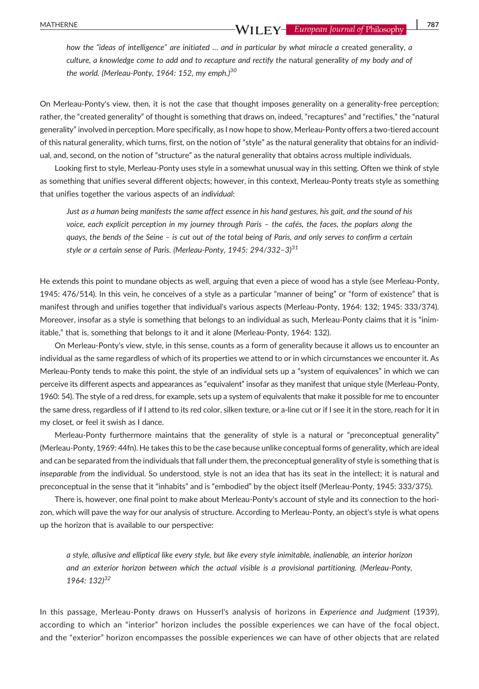how the "ideas of intelligence" are initiated ... and in particular by what miracle a created generality, a culture, a knowledge come to add and to recapture and rectify the natural generality of my body and of the world. (Merleau-Ponty, 1964: 152, my emph.)<sup>30</sup>

On Merleau-Ponty's view, then, it is not the case that thought imposes generality on a generality-free perception; rather, the "created generality" of thought is something that draws on, indeed, "recaptures" and "rectifies," the "natural generality" involved in perception. More specifically, as I now hope to show, Merleau-Ponty offers a two-tiered account of this natural generality, which turns, first, on the notion of "style" as the natural generality that obtains for an individual, and, second, on the notion of "structure" as the natural generality that obtains across multiple individuals.

Looking first to style, Merleau‐Ponty uses style in a somewhat unusual way in this setting. Often we think of style as something that unifies several different objects; however, in this context, Merleau‐Ponty treats style as something that unifies together the various aspects of an individual:

Just as a human being manifests the same affect essence in his hand gestures, his gait, and the sound of his voice, each explicit perception in my journey through Paris – the cafés, the faces, the poplars along the quays, the bends of the Seine – is cut out of the total being of Paris, and only serves to confirm a certain style or a certain sense of Paris. (Merleau-Ponty, 1945: 294/332-3) $^{31}$ 

He extends this point to mundane objects as well, arguing that even a piece of wood has a style (see Merleau‐Ponty, 1945: 476/514). In this vein, he conceives of a style as a particular "manner of being" or "form of existence" that is manifest through and unifies together that individual's various aspects (Merleau‐Ponty, 1964: 132; 1945: 333/374). Moreover, insofar as a style is something that belongs to an individual as such, Merleau-Ponty claims that it is "inimitable," that is, something that belongs to it and it alone (Merleau‐Ponty, 1964: 132).

On Merleau‐Ponty's view, style, in this sense, counts as a form of generality because it allows us to encounter an individual as the same regardless of which of its properties we attend to or in which circumstances we encounter it. As Merleau‐Ponty tends to make this point, the style of an individual sets up a "system of equivalences" in which we can perceive its different aspects and appearances as "equivalent" insofar as they manifest that unique style (Merleau‐Ponty, 1960: 54). The style of a red dress, for example, sets up a system of equivalents that make it possible for me to encounter the same dress, regardless of if I attend to its red color, silken texture, or a‐line cut or if I see it in the store, reach for it in my closet, or feel it swish as I dance.

Merleau-Ponty furthermore maintains that the generality of style is a natural or "preconceptual generality" (Merleau‐Ponty, 1969: 44fn). He takes this to be the case because unlike conceptual forms of generality, which are ideal and can be separated from the individuals that fall under them, the preconceptual generality of style is something that is inseparable from the individual. So understood, style is not an idea that has its seat in the intellect; it is natural and preconceptual in the sense that it "inhabits" and is "embodied" by the object itself (Merleau‐Ponty, 1945: 333/375).

There is, however, one final point to make about Merleau‐Ponty's account of style and its connection to the horizon, which will pave the way for our analysis of structure. According to Merleau‐Ponty, an object's style is what opens up the horizon that is available to our perspective:

a style, allusive and elliptical like every style, but like every style inimitable, inalienable, an interior horizon and an exterior horizon between which the actual visible is a provisional partitioning. (Merleau‐Ponty, 1964: 132)32

In this passage, Merleau-Ponty draws on Husserl's analysis of horizons in Experience and Judgment (1939), according to which an "interior" horizon includes the possible experiences we can have of the focal object, and the "exterior" horizon encompasses the possible experiences we can have of other objects that are related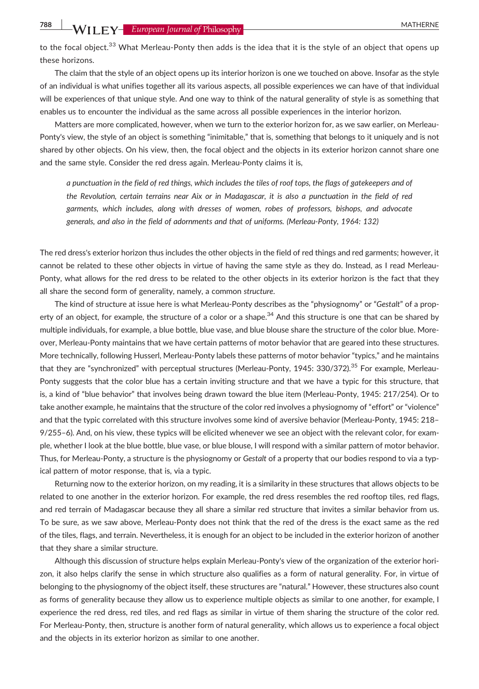to the focal object.<sup>33</sup> What Merleau-Ponty then adds is the idea that it is the style of an object that opens up these horizons.

The claim that the style of an object opens up its interior horizon is one we touched on above. Insofar as the style of an individual is what unifies together all its various aspects, all possible experiences we can have of that individual will be experiences of that unique style. And one way to think of the natural generality of style is as something that enables us to encounter the individual as the same across all possible experiences in the interior horizon.

Matters are more complicated, however, when we turn to the exterior horizon for, as we saw earlier, on Merleau-Ponty's view, the style of an object is something "inimitable," that is, something that belongs to it uniquely and is not shared by other objects. On his view, then, the focal object and the objects in its exterior horizon cannot share one and the same style. Consider the red dress again. Merleau‐Ponty claims it is,

a punctuation in the field of red things, which includes the tiles of roof tops, the flags of gatekeepers and of the Revolution, certain terrains near Aix or in Madagascar, it is also a punctuation in the field of red garments, which includes, along with dresses of women, robes of professors, bishops, and advocate generals, and also in the field of adornments and that of uniforms. (Merleau‐Ponty, 1964: 132)

The red dress's exterior horizon thus includes the other objects in the field of red things and red garments; however, it cannot be related to these other objects in virtue of having the same style as they do. Instead, as I read Merleau‐ Ponty, what allows for the red dress to be related to the other objects in its exterior horizon is the fact that they all share the second form of generality, namely, a common structure.

The kind of structure at issue here is what Merleau-Ponty describes as the "physiognomy" or "Gestalt" of a property of an object, for example, the structure of a color or a shape.<sup>34</sup> And this structure is one that can be shared by multiple individuals, for example, a blue bottle, blue vase, and blue blouse share the structure of the color blue. Moreover, Merleau‐Ponty maintains that we have certain patterns of motor behavior that are geared into these structures. More technically, following Husserl, Merleau-Ponty labels these patterns of motor behavior "typics," and he maintains that they are "synchronized" with perceptual structures (Merleau-Ponty, 1945: 330/372).<sup>35</sup> For example, Merleau-Ponty suggests that the color blue has a certain inviting structure and that we have a typic for this structure, that is, a kind of "blue behavior" that involves being drawn toward the blue item (Merleau‐Ponty, 1945: 217/254). Or to take another example, he maintains that the structure of the color red involves a physiognomy of "effort" or "violence" and that the typic correlated with this structure involves some kind of aversive behavior (Merleau‐Ponty, 1945: 218– 9/255–6). And, on his view, these typics will be elicited whenever we see an object with the relevant color, for example, whether I look at the blue bottle, blue vase, or blue blouse, I will respond with a similar pattern of motor behavior. Thus, for Merleau‐Ponty, a structure is the physiognomy or Gestalt of a property that our bodies respond to via a typical pattern of motor response, that is, via a typic.

Returning now to the exterior horizon, on my reading, it is a similarity in these structures that allows objects to be related to one another in the exterior horizon. For example, the red dress resembles the red rooftop tiles, red flags, and red terrain of Madagascar because they all share a similar red structure that invites a similar behavior from us. To be sure, as we saw above, Merleau‐Ponty does not think that the red of the dress is the exact same as the red of the tiles, flags, and terrain. Nevertheless, it is enough for an object to be included in the exterior horizon of another that they share a similar structure.

Although this discussion of structure helps explain Merleau‐Ponty's view of the organization of the exterior horizon, it also helps clarify the sense in which structure also qualifies as a form of natural generality. For, in virtue of belonging to the physiognomy of the object itself, these structures are "natural." However, these structures also count as forms of generality because they allow us to experience multiple objects as similar to one another, for example, I experience the red dress, red tiles, and red flags as similar in virtue of them sharing the structure of the color red. For Merleau‐Ponty, then, structure is another form of natural generality, which allows us to experience a focal object and the objects in its exterior horizon as similar to one another.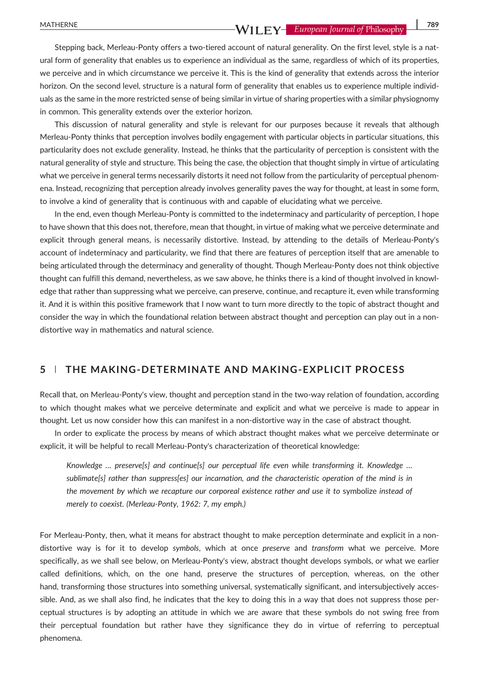Stepping back, Merleau-Ponty offers a two-tiered account of natural generality. On the first level, style is a natural form of generality that enables us to experience an individual as the same, regardless of which of its properties, we perceive and in which circumstance we perceive it. This is the kind of generality that extends across the interior horizon. On the second level, structure is a natural form of generality that enables us to experience multiple individuals as the same in the more restricted sense of being similar in virtue of sharing properties with a similar physiognomy in common. This generality extends over the exterior horizon.

This discussion of natural generality and style is relevant for our purposes because it reveals that although Merleau-Ponty thinks that perception involves bodily engagement with particular objects in particular situations, this particularity does not exclude generality. Instead, he thinks that the particularity of perception is consistent with the natural generality of style and structure. This being the case, the objection that thought simply in virtue of articulating what we perceive in general terms necessarily distorts it need not follow from the particularity of perceptual phenomena. Instead, recognizing that perception already involves generality paves the way for thought, at least in some form, to involve a kind of generality that is continuous with and capable of elucidating what we perceive.

In the end, even though Merleau-Ponty is committed to the indeterminacy and particularity of perception, I hope to have shown that this does not, therefore, mean that thought, in virtue of making what we perceive determinate and explicit through general means, is necessarily distortive. Instead, by attending to the details of Merleau‐Ponty's account of indeterminacy and particularity, we find that there are features of perception itself that are amenable to being articulated through the determinacy and generality of thought. Though Merleau‐Ponty does not think objective thought can fulfill this demand, nevertheless, as we saw above, he thinks there is a kind of thought involved in knowledge that rather than suppressing what we perceive, can preserve, continue, and recapture it, even while transforming it. And it is within this positive framework that I now want to turn more directly to the topic of abstract thought and consider the way in which the foundational relation between abstract thought and perception can play out in a non‐ distortive way in mathematics and natural science.

## 5 | THE MAKING‐DETERMINATE AND MAKING‐EXPLICIT PROCESS

Recall that, on Merleau‐Ponty's view, thought and perception stand in the two‐way relation of foundation, according to which thought makes what we perceive determinate and explicit and what we perceive is made to appear in thought. Let us now consider how this can manifest in a non‐distortive way in the case of abstract thought.

In order to explicate the process by means of which abstract thought makes what we perceive determinate or explicit, it will be helpful to recall Merleau‐Ponty's characterization of theoretical knowledge:

Knowledge ... preservels) and continuels) our perceptual life even while transforming it. Knowledge ... sublimate[s] rather than suppress[es] our incarnation, and the characteristic operation of the mind is in the movement by which we recapture our corporeal existence rather and use it to symbolize instead of merely to coexist. (Merleau‐Ponty, 1962: 7, my emph.)

For Merleau-Ponty, then, what it means for abstract thought to make perception determinate and explicit in a nondistortive way is for it to develop symbols, which at once preserve and transform what we perceive. More specifically, as we shall see below, on Merleau-Ponty's view, abstract thought develops symbols, or what we earlier called definitions, which, on the one hand, preserve the structures of perception, whereas, on the other hand, transforming those structures into something universal, systematically significant, and intersubjectively accessible. And, as we shall also find, he indicates that the key to doing this in a way that does not suppress those perceptual structures is by adopting an attitude in which we are aware that these symbols do not swing free from their perceptual foundation but rather have they significance they do in virtue of referring to perceptual phenomena.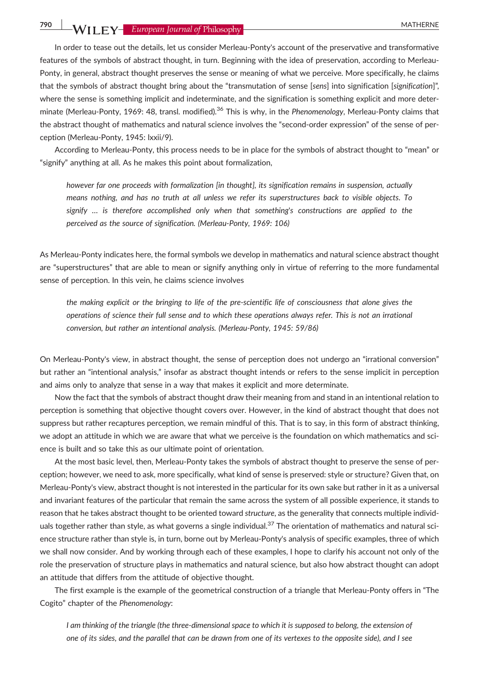In order to tease out the details, let us consider Merleau-Ponty's account of the preservative and transformative features of the symbols of abstract thought, in turn. Beginning with the idea of preservation, according to Merleau-Ponty, in general, abstract thought preserves the sense or meaning of what we perceive. More specifically, he claims that the symbols of abstract thought bring about the "transmutation of sense [sens] into signification [signification]", where the sense is something implicit and indeterminate, and the signification is something explicit and more determinate (Merleau-Ponty, 1969: 48, transl. modified).<sup>36</sup> This is why, in the Phenomenology, Merleau-Ponty claims that the abstract thought of mathematics and natural science involves the "second-order expression" of the sense of perception (Merleau‐Ponty, 1945: lxxii/9).

According to Merleau‐Ponty, this process needs to be in place for the symbols of abstract thought to "mean" or "signify" anything at all. As he makes this point about formalization,

however far one proceeds with formalization [in thought], its signification remains in suspension, actually means nothing, and has no truth at all unless we refer its superstructures back to visible objects. To signify … is therefore accomplished only when that something's constructions are applied to the perceived as the source of signification. (Merleau‐Ponty, 1969: 106)

As Merleau‐Ponty indicates here, the formal symbols we develop in mathematics and natural science abstract thought are "superstructures" that are able to mean or signify anything only in virtue of referring to the more fundamental sense of perception. In this vein, he claims science involves

the making explicit or the bringing to life of the pre‐scientific life of consciousness that alone gives the operations of science their full sense and to which these operations always refer. This is not an irrational conversion, but rather an intentional analysis. (Merleau‐Ponty, 1945: 59/86)

On Merleau‐Ponty's view, in abstract thought, the sense of perception does not undergo an "irrational conversion" but rather an "intentional analysis," insofar as abstract thought intends or refers to the sense implicit in perception and aims only to analyze that sense in a way that makes it explicit and more determinate.

Now the fact that the symbols of abstract thought draw their meaning from and stand in an intentional relation to perception is something that objective thought covers over. However, in the kind of abstract thought that does not suppress but rather recaptures perception, we remain mindful of this. That is to say, in this form of abstract thinking, we adopt an attitude in which we are aware that what we perceive is the foundation on which mathematics and science is built and so take this as our ultimate point of orientation.

At the most basic level, then, Merleau-Ponty takes the symbols of abstract thought to preserve the sense of perception; however, we need to ask, more specifically, what kind of sense is preserved: style or structure? Given that, on Merleau‐Ponty's view, abstract thought is not interested in the particular for its own sake but rather in it as a universal and invariant features of the particular that remain the same across the system of all possible experience, it stands to reason that he takes abstract thought to be oriented toward structure, as the generality that connects multiple individuals together rather than style, as what governs a single individual.<sup>37</sup> The orientation of mathematics and natural science structure rather than style is, in turn, borne out by Merleau‐Ponty's analysis of specific examples, three of which we shall now consider. And by working through each of these examples, I hope to clarify his account not only of the role the preservation of structure plays in mathematics and natural science, but also how abstract thought can adopt an attitude that differs from the attitude of objective thought.

The first example is the example of the geometrical construction of a triangle that Merleau-Ponty offers in "The Cogito" chapter of the Phenomenology:

I am thinking of the triangle (the three‐dimensional space to which it is supposed to belong, the extension of one of its sides, and the parallel that can be drawn from one of its vertexes to the opposite side), and I see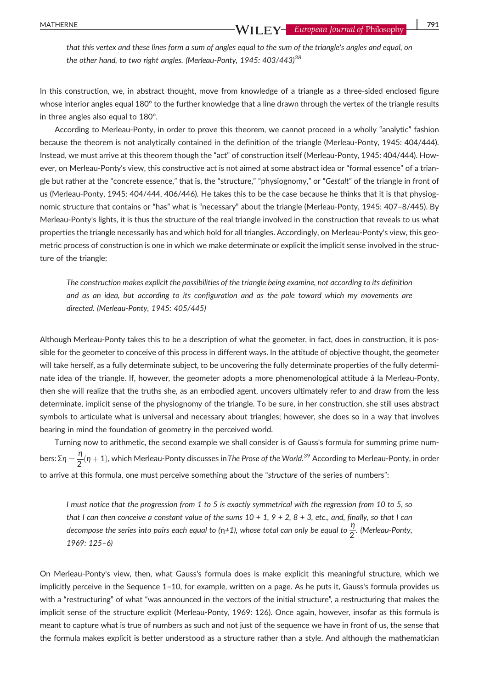that this vertex and these lines form a sum of angles equal to the sum of the triangle's angles and equal, on the other hand, to two right angles. (Merleau-Ponty, 1945: 403/443)<sup>38</sup>

In this construction, we, in abstract thought, move from knowledge of a triangle as a three-sided enclosed figure whose interior angles equal 180° to the further knowledge that a line drawn through the vertex of the triangle results in three angles also equal to 180°.

According to Merleau‐Ponty, in order to prove this theorem, we cannot proceed in a wholly "analytic" fashion because the theorem is not analytically contained in the definition of the triangle (Merleau-Ponty, 1945: 404/444). Instead, we must arrive at this theorem though the "act" of construction itself (Merleau‐Ponty, 1945: 404/444). However, on Merleau-Ponty's view, this constructive act is not aimed at some abstract idea or "formal essence" of a triangle but rather at the "concrete essence," that is, the "structure," "physiognomy," or "Gestalt" of the triangle in front of us (Merleau-Ponty, 1945: 404/444, 406/446). He takes this to be the case because he thinks that it is that physiognomic structure that contains or "has" what is "necessary" about the triangle (Merleau‐Ponty, 1945: 407–8/445). By Merleau-Ponty's lights, it is thus the structure of the real triangle involved in the construction that reveals to us what properties the triangle necessarily has and which hold for all triangles. Accordingly, on Merleau‐Ponty's view, this geometric process of construction is one in which we make determinate or explicit the implicit sense involved in the structure of the triangle:

The construction makes explicit the possibilities of the triangle being examine, not according to its definition and as an idea, but according to its configuration and as the pole toward which my movements are directed. (Merleau‐Ponty, 1945: 405/445)

Although Merleau‐Ponty takes this to be a description of what the geometer, in fact, does in construction, it is possible for the geometer to conceive of this process in different ways. In the attitude of objective thought, the geometer will take herself, as a fully determinate subject, to be uncovering the fully determinate properties of the fully determinate idea of the triangle. If, however, the geometer adopts a more phenomenological attitude á la Merleau‐Ponty, then she will realize that the truths she, as an embodied agent, uncovers ultimately refer to and draw from the less determinate, implicit sense of the physiognomy of the triangle. To be sure, in her construction, she still uses abstract symbols to articulate what is universal and necessary about triangles; however, she does so in a way that involves bearing in mind the foundation of geometry in the perceived world.

Turning now to arithmetic, the second example we shall consider is of Gauss's formula for summing prime numbers: Σ $\eta=\frac{\eta}{2}(\eta+1)$ , which Merleau-Ponty discusses in T*he Prose of the World.<sup>39</sup>* According to Merleau-Ponty, in order to arrive at this formula, one must perceive something about the "structure of the series of numbers":

I must notice that the progression from 1 to 5 is exactly symmetrical with the regression from 10 to 5, so that I can then conceive a constant value of the sums  $10 + 1$ ,  $9 + 2$ ,  $8 + 3$ , etc., and, finally, so that I can decompose the series into pairs each equal to (η+1), whose total can only be equal to  $\frac{\eta}{2}$ . (Merleau-Ponty, 1969: 125–6)

On Merleau‐Ponty's view, then, what Gauss's formula does is make explicit this meaningful structure, which we implicitly perceive in the Sequence 1–10, for example, written on a page. As he puts it, Gauss's formula provides us with a "restructuring" of what "was announced in the vectors of the initial structure", a restructuring that makes the implicit sense of the structure explicit (Merleau‐Ponty, 1969: 126). Once again, however, insofar as this formula is meant to capture what is true of numbers as such and not just of the sequence we have in front of us, the sense that the formula makes explicit is better understood as a structure rather than a style. And although the mathematician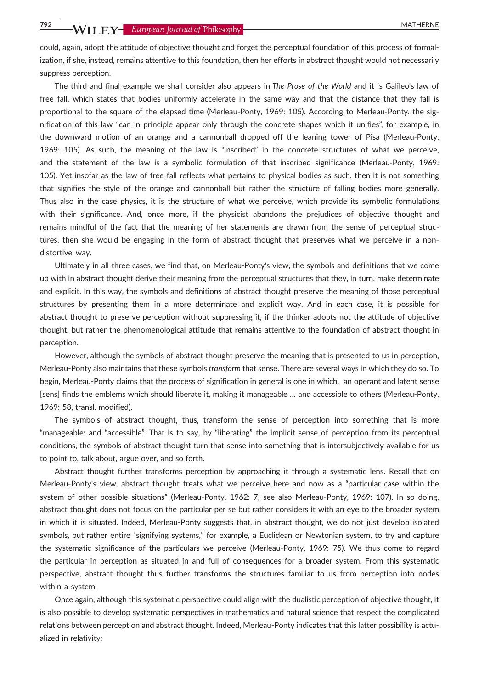could, again, adopt the attitude of objective thought and forget the perceptual foundation of this process of formalization, if she, instead, remains attentive to this foundation, then her efforts in abstract thought would not necessarily suppress perception.

The third and final example we shall consider also appears in The Prose of the World and it is Galileo's law of free fall, which states that bodies uniformly accelerate in the same way and that the distance that they fall is proportional to the square of the elapsed time (Merleau‐Ponty, 1969: 105). According to Merleau‐Ponty, the signification of this law "can in principle appear only through the concrete shapes which it unifies", for example, in the downward motion of an orange and a cannonball dropped off the leaning tower of Pisa (Merleau‐Ponty, 1969: 105). As such, the meaning of the law is "inscribed" in the concrete structures of what we perceive, and the statement of the law is a symbolic formulation of that inscribed significance (Merleau‐Ponty, 1969: 105). Yet insofar as the law of free fall reflects what pertains to physical bodies as such, then it is not something that signifies the style of the orange and cannonball but rather the structure of falling bodies more generally. Thus also in the case physics, it is the structure of what we perceive, which provide its symbolic formulations with their significance. And, once more, if the physicist abandons the prejudices of objective thought and remains mindful of the fact that the meaning of her statements are drawn from the sense of perceptual structures, then she would be engaging in the form of abstract thought that preserves what we perceive in a nondistortive way.

Ultimately in all three cases, we find that, on Merleau‐Ponty's view, the symbols and definitions that we come up with in abstract thought derive their meaning from the perceptual structures that they, in turn, make determinate and explicit. In this way, the symbols and definitions of abstract thought preserve the meaning of those perceptual structures by presenting them in a more determinate and explicit way. And in each case, it is possible for abstract thought to preserve perception without suppressing it, if the thinker adopts not the attitude of objective thought, but rather the phenomenological attitude that remains attentive to the foundation of abstract thought in perception.

However, although the symbols of abstract thought preserve the meaning that is presented to us in perception, Merleau-Ponty also maintains that these symbols transform that sense. There are several ways in which they do so. To begin, Merleau‐Ponty claims that the process of signification in general is one in which, an operant and latent sense [sens] finds the emblems which should liberate it, making it manageable … and accessible to others (Merleau‐Ponty, 1969: 58, transl. modified).

The symbols of abstract thought, thus, transform the sense of perception into something that is more "manageable: and "accessible". That is to say, by "liberating" the implicit sense of perception from its perceptual conditions, the symbols of abstract thought turn that sense into something that is intersubjectively available for us to point to, talk about, argue over, and so forth.

Abstract thought further transforms perception by approaching it through a systematic lens. Recall that on Merleau-Ponty's view, abstract thought treats what we perceive here and now as a "particular case within the system of other possible situations" (Merleau‐Ponty, 1962: 7, see also Merleau‐Ponty, 1969: 107). In so doing, abstract thought does not focus on the particular per se but rather considers it with an eye to the broader system in which it is situated. Indeed, Merleau‐Ponty suggests that, in abstract thought, we do not just develop isolated symbols, but rather entire "signifying systems," for example, a Euclidean or Newtonian system, to try and capture the systematic significance of the particulars we perceive (Merleau‐Ponty, 1969: 75). We thus come to regard the particular in perception as situated in and full of consequences for a broader system. From this systematic perspective, abstract thought thus further transforms the structures familiar to us from perception into nodes within a system.

Once again, although this systematic perspective could align with the dualistic perception of objective thought, it is also possible to develop systematic perspectives in mathematics and natural science that respect the complicated relations between perception and abstract thought. Indeed, Merleau‐Ponty indicates that this latter possibility is actualized in relativity: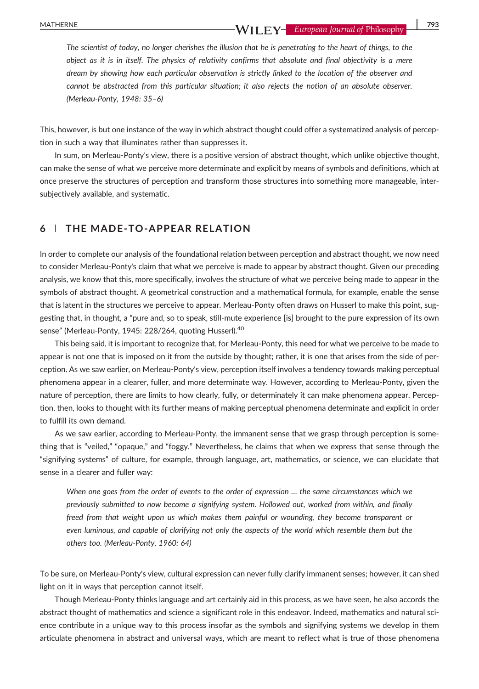The scientist of today, no longer cherishes the illusion that he is penetrating to the heart of things, to the object as it is in itself. The physics of relativity confirms that absolute and final objectivity is a mere dream by showing how each particular observation is strictly linked to the location of the observer and cannot be abstracted from this particular situation; it also rejects the notion of an absolute observer. (Merleau‐Ponty, 1948: 35–6)

This, however, is but one instance of the way in which abstract thought could offer a systematized analysis of perception in such a way that illuminates rather than suppresses it.

In sum, on Merleau-Ponty's view, there is a positive version of abstract thought, which unlike objective thought, can make the sense of what we perceive more determinate and explicit by means of symbols and definitions, which at once preserve the structures of perception and transform those structures into something more manageable, intersubjectively available, and systematic.

# 6 | THE MADE‐TO‐APPEAR RELATION

In order to complete our analysis of the foundational relation between perception and abstract thought, we now need to consider Merleau‐Ponty's claim that what we perceive is made to appear by abstract thought. Given our preceding analysis, we know that this, more specifically, involves the structure of what we perceive being made to appear in the symbols of abstract thought. A geometrical construction and a mathematical formula, for example, enable the sense that is latent in the structures we perceive to appear. Merleau‐Ponty often draws on Husserl to make this point, suggesting that, in thought, a "pure and, so to speak, still‐mute experience [is] brought to the pure expression of its own sense" (Merleau-Ponty, 1945: 228/264, quoting Husserl).<sup>40</sup>

This being said, it is important to recognize that, for Merleau‐Ponty, this need for what we perceive to be made to appear is not one that is imposed on it from the outside by thought; rather, it is one that arises from the side of perception. As we saw earlier, on Merleau‐Ponty's view, perception itself involves a tendency towards making perceptual phenomena appear in a clearer, fuller, and more determinate way. However, according to Merleau‐Ponty, given the nature of perception, there are limits to how clearly, fully, or determinately it can make phenomena appear. Perception, then, looks to thought with its further means of making perceptual phenomena determinate and explicit in order to fulfill its own demand.

As we saw earlier, according to Merleau-Ponty, the immanent sense that we grasp through perception is something that is "veiled," "opaque," and "foggy." Nevertheless, he claims that when we express that sense through the "signifying systems" of culture, for example, through language, art, mathematics, or science, we can elucidate that sense in a clearer and fuller way:

When one goes from the order of events to the order of expression … the same circumstances which we previously submitted to now become a signifying system. Hollowed out, worked from within, and finally freed from that weight upon us which makes them painful or wounding, they become transparent or even luminous, and capable of clarifying not only the aspects of the world which resemble them but the others too. (Merleau‐Ponty, 1960: 64)

To be sure, on Merleau‐Ponty's view, cultural expression can never fully clarify immanent senses; however, it can shed light on it in ways that perception cannot itself.

Though Merleau‐Ponty thinks language and art certainly aid in this process, as we have seen, he also accords the abstract thought of mathematics and science a significant role in this endeavor. Indeed, mathematics and natural science contribute in a unique way to this process insofar as the symbols and signifying systems we develop in them articulate phenomena in abstract and universal ways, which are meant to reflect what is true of those phenomena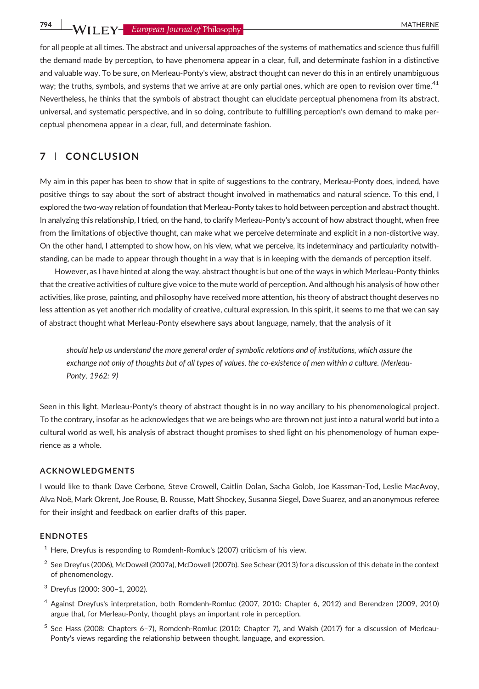794 WII FY- European Journal of Philosophy

for all people at all times. The abstract and universal approaches of the systems of mathematics and science thus fulfill the demand made by perception, to have phenomena appear in a clear, full, and determinate fashion in a distinctive and valuable way. To be sure, on Merleau‐Ponty's view, abstract thought can never do this in an entirely unambiguous way; the truths, symbols, and systems that we arrive at are only partial ones, which are open to revision over time.<sup>41</sup> Nevertheless, he thinks that the symbols of abstract thought can elucidate perceptual phenomena from its abstract, universal, and systematic perspective, and in so doing, contribute to fulfilling perception's own demand to make perceptual phenomena appear in a clear, full, and determinate fashion.

# 7 | CONCLUSION

My aim in this paper has been to show that in spite of suggestions to the contrary, Merleau‐Ponty does, indeed, have positive things to say about the sort of abstract thought involved in mathematics and natural science. To this end, I explored the two-way relation of foundation that Merleau-Ponty takes to hold between perception and abstract thought. In analyzing this relationship, I tried, on the hand, to clarify Merleau-Ponty's account of how abstract thought, when free from the limitations of objective thought, can make what we perceive determinate and explicit in a non‐distortive way. On the other hand, I attempted to show how, on his view, what we perceive, its indeterminacy and particularity notwithstanding, can be made to appear through thought in a way that is in keeping with the demands of perception itself.

However, as I have hinted at along the way, abstract thought is but one of the ways in which Merleau-Ponty thinks that the creative activities of culture give voice to the mute world of perception. And although his analysis of how other activities, like prose, painting, and philosophy have received more attention, his theory of abstract thought deserves no less attention as yet another rich modality of creative, cultural expression. In this spirit, it seems to me that we can say of abstract thought what Merleau‐Ponty elsewhere says about language, namely, that the analysis of it

should help us understand the more general order of symbolic relations and of institutions, which assure the exchange not only of thoughts but of all types of values, the co-existence of men within a culture. (Merleau-Ponty, 1962: 9)

Seen in this light, Merleau-Ponty's theory of abstract thought is in no way ancillary to his phenomenological project. To the contrary, insofar as he acknowledges that we are beings who are thrown not just into a natural world but into a cultural world as well, his analysis of abstract thought promises to shed light on his phenomenology of human experience as a whole.

#### ACKNOWLEDGMENTS

I would like to thank Dave Cerbone, Steve Crowell, Caitlin Dolan, Sacha Golob, Joe Kassman‐Tod, Leslie MacAvoy, Alva Noë, Mark Okrent, Joe Rouse, B. Rousse, Matt Shockey, Susanna Siegel, Dave Suarez, and an anonymous referee for their insight and feedback on earlier drafts of this paper.

#### ENDNOTES

- $1$  Here, Dreyfus is responding to Romdenh-Romluc's (2007) criticism of his view.
- <sup>2</sup> See Dreyfus (2006), McDowell (2007a), McDowell (2007b). See Schear (2013) for a discussion of this debate in the context of phenomenology.
- <sup>3</sup> Dreyfus (2000: 300–1, 2002).
- <sup>4</sup> Against Dreyfus's interpretation, both Romdenh‐Romluc (2007, 2010: Chapter 6, 2012) and Berendzen (2009, 2010) argue that, for Merleau‐Ponty, thought plays an important role in perception.
- <sup>5</sup> See Hass (2008: Chapters 6–7), Romdenh-Romluc (2010: Chapter 7), and Walsh (2017) for a discussion of Merleau-Ponty's views regarding the relationship between thought, language, and expression.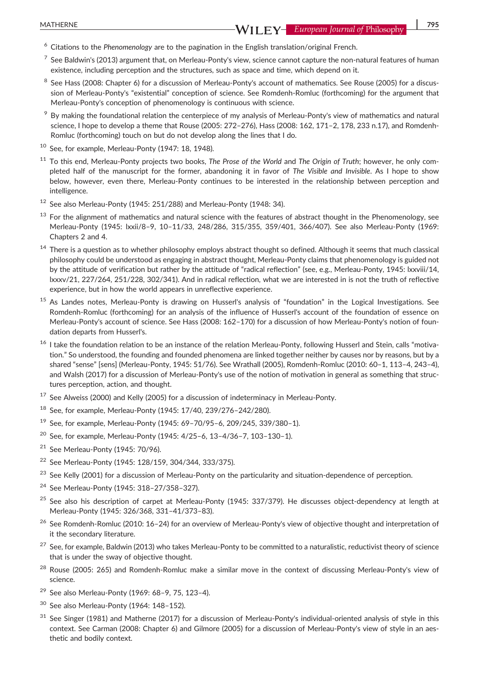- $6$  Citations to the Phenomenology are to the pagination in the English translation/original French.
- $7$  See Baldwin's (2013) argument that, on Merleau-Ponty's view, science cannot capture the non-natural features of human existence, including perception and the structures, such as space and time, which depend on it.
- See Hass (2008: Chapter 6) for a discussion of Merleau-Ponty's account of mathematics. See Rouse (2005) for a discussion of Merleau-Ponty's "existential" conception of science. See Romdenh-Romluc (forthcoming) for the argument that Merleau‐Ponty's conception of phenomenology is continuous with science.
- <sup>9</sup> By making the foundational relation the centerpiece of my analysis of Merleau-Ponty's view of mathematics and natural science, I hope to develop a theme that Rouse (2005: 272–276), Hass (2008: 162, 171–2, 178, 233 n.17), and Romdenh‐ Romluc (forthcoming) touch on but do not develop along the lines that I do.
- <sup>10</sup> See, for example, Merleau‐Ponty (1947: 18, 1948).
- <sup>11</sup> To this end, Merleau-Ponty projects two books, The Prose of the World and The Origin of Truth; however, he only completed half of the manuscript for the former, abandoning it in favor of The Visible and Invisible. As I hope to show below, however, even there, Merleau‐Ponty continues to be interested in the relationship between perception and intelligence.
- <sup>12</sup> See also Merleau‐Ponty (1945: 251/288) and Merleau‐Ponty (1948: 34).
- $13$  For the alignment of mathematics and natural science with the features of abstract thought in the Phenomenology, see Merleau‐Ponty (1945: lxxii/8–9, 10–11/33, 248/286, 315/355, 359/401, 366/407). See also Merleau‐Ponty (1969: Chapters 2 and 4.
- <sup>14</sup> There is a question as to whether philosophy employs abstract thought so defined. Although it seems that much classical philosophy could be understood as engaging in abstract thought, Merleau‐Ponty claims that phenomenology is guided not by the attitude of verification but rather by the attitude of "radical reflection" (see, e.g., Merleau‐Ponty, 1945: lxxviii/14, lxxxv/21, 227/264, 251/228, 302/341). And in radical reflection, what we are interested in is not the truth of reflective experience, but in how the world appears in unreflective experience.
- <sup>15</sup> As Landes notes, Merleau-Ponty is drawing on Husserl's analysis of "foundation" in the Logical Investigations. See Romdenh‐Romluc (forthcoming) for an analysis of the influence of Husserl's account of the foundation of essence on Merleau‐Ponty's account of science. See Hass (2008: 162–170) for a discussion of how Merleau‐Ponty's notion of foundation departs from Husserl's.
- <sup>16</sup> I take the foundation relation to be an instance of the relation Merleau-Ponty, following Husserl and Stein, calls "motivation." So understood, the founding and founded phenomena are linked together neither by causes nor by reasons, but by a shared "sense" [sens] (Merleau‐Ponty, 1945: 51/76). See Wrathall (2005), Romdenh‐Romluc (2010: 60–1, 113–4, 243–4), and Walsh (2017) for a discussion of Merleau-Ponty's use of the notion of motivation in general as something that structures perception, action, and thought.
- $17$  See Alweiss (2000) and Kelly (2005) for a discussion of indeterminacy in Merleau-Ponty.
- <sup>18</sup> See, for example, Merleau‐Ponty (1945: 17/40, 239/276–242/280).
- <sup>19</sup> See, for example, Merleau‐Ponty (1945: 69–70/95–6, 209/245, 339/380–1).
- <sup>20</sup> See, for example, Merleau‐Ponty (1945: 4/25–6, 13–4/36–7, 103–130–1).
- <sup>21</sup> See Merleau‐Ponty (1945: 70/96).
- <sup>22</sup> See Merleau‐Ponty (1945: 128/159, 304/344, 333/375).
- <sup>23</sup> See Kelly (2001) for a discussion of Merleau-Ponty on the particularity and situation-dependence of perception.
- <sup>24</sup> See Merleau‐Ponty (1945: 318–27/358–327).
- $25$  See also his description of carpet at Merleau-Ponty (1945: 337/379). He discusses object-dependency at length at Merleau‐Ponty (1945: 326/368, 331–41/373–83).
- <sup>26</sup> See Romdenh‐Romluc (2010: 16–24) for an overview of Merleau‐Ponty's view of objective thought and interpretation of it the secondary literature.
- $^{27}$  See, for example, Baldwin (2013) who takes Merleau-Ponty to be committed to a naturalistic, reductivist theory of science that is under the sway of objective thought.
- <sup>28</sup> Rouse (2005: 265) and Romdenh-Romluc make a similar move in the context of discussing Merleau-Ponty's view of science.
- <sup>29</sup> See also Merleau‐Ponty (1969: 68–9, 75, 123–4).
- <sup>30</sup> See also Merleau‐Ponty (1964: 148–152).
- 31 See Singer (1981) and Matherne (2017) for a discussion of Merleau-Ponty's individual-oriented analysis of style in this context. See Carman (2008: Chapter 6) and Gilmore (2005) for a discussion of Merleau-Ponty's view of style in an aesthetic and bodily context.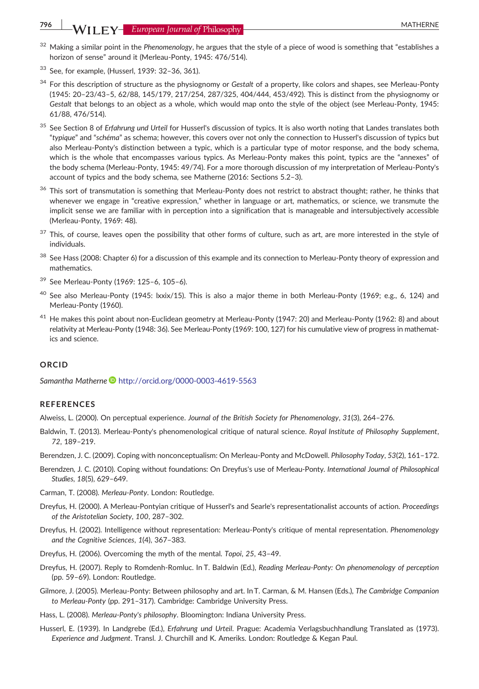# 796 WII FY- European Journal of Philosophy

- $32$  Making a similar point in the Phenomenology, he argues that the style of a piece of wood is something that "establishes a horizon of sense" around it (Merleau-Ponty, 1945: 476/514).
- <sup>33</sup> See, for example, (Husserl, 1939: 32–36, 361).
- <sup>34</sup> For this description of structure as the physiognomy or Gestalt of a property, like colors and shapes, see Merleau-Ponty (1945: 20–23/43–5, 62/88, 145/179, 217/254, 287/325, 404/444, 453/492). This is distinct from the physiognomy or Gestalt that belongs to an object as a whole, which would map onto the style of the object (see Merleau-Ponty, 1945: 61/88, 476/514).
- <sup>35</sup> See Section 8 of Erfahrung und Urteil for Husserl's discussion of typics. It is also worth noting that Landes translates both "typique" and "schéma" as schema; however, this covers over not only the connection to Husserl's discussion of typics but also Merleau‐Ponty's distinction between a typic, which is a particular type of motor response, and the body schema, which is the whole that encompasses various typics. As Merleau-Ponty makes this point, typics are the "annexes" of the body schema (Merleau‐Ponty, 1945: 49/74). For a more thorough discussion of my interpretation of Merleau‐Ponty's account of typics and the body schema, see Matherne (2016: Sections 5.2–3).
- $36$  This sort of transmutation is something that Merleau-Ponty does not restrict to abstract thought; rather, he thinks that whenever we engage in "creative expression," whether in language or art, mathematics, or science, we transmute the implicit sense we are familiar with in perception into a signification that is manageable and intersubjectively accessible (Merleau‐Ponty, 1969: 48).
- <sup>37</sup> This, of course, leaves open the possibility that other forms of culture, such as art, are more interested in the style of individuals.
- $38$  See Hass (2008: Chapter 6) for a discussion of this example and its connection to Merleau-Ponty theory of expression and mathematics.
- <sup>39</sup> See Merleau‐Ponty (1969: 125–6, 105–6).
- $40$  See also Merleau-Ponty (1945: lxxix/15). This is also a major theme in both Merleau-Ponty (1969; e.g., 6, 124) and Merleau‐Ponty (1960).
- <sup>41</sup> He makes this point about non‐Euclidean geometry at Merleau‐Ponty (1947: 20) and Merleau‐Ponty (1962: 8) and about relativity at Merleau‐Ponty (1948: 36). See Merleau‐Ponty (1969: 100, 127) for his cumulative view of progress in mathematics and science.

#### **ORCID**

Samantha Matherne <http://orcid.org/0000-0003-4619-5563>

#### **REFERENCES**

- Alweiss, L. (2000). On perceptual experience. Journal of the British Society for Phenomenology, 31(3), 264–276.
- Baldwin, T. (2013). Merleau-Ponty's phenomenological critique of natural science. Royal Institute of Philosophy Supplement, 72, 189–219.
- Berendzen, J. C. (2009). Coping with nonconceptualism: On Merleau‐Ponty and McDowell. Philosophy Today, 53(2), 161–172.
- Berendzen, J. C. (2010). Coping without foundations: On Dreyfus's use of Merleau-Ponty. International Journal of Philosophical Studies, 18(5), 629–649.
- Carman, T. (2008). Merleau‐Ponty. London: Routledge.
- Dreyfus, H. (2000). A Merleau‐Pontyian critique of Husserl's and Searle's representationalist accounts of action. Proceedings of the Aristotelian Society, 100, 287–302.
- Dreyfus, H. (2002). Intelligence without representation: Merleau‐Ponty's critique of mental representation. Phenomenology and the Cognitive Sciences, 1(4), 367–383.
- Dreyfus, H. (2006). Overcoming the myth of the mental. Topoi, 25, 43–49.
- Dreyfus, H. (2007). Reply to Romdenh‐Romluc. In T. Baldwin (Ed.), Reading Merleau‐Ponty: On phenomenology of perception (pp. 59–69). London: Routledge.
- Gilmore, J. (2005). Merleau‐Ponty: Between philosophy and art. In T. Carman, & M. Hansen (Eds.), The Cambridge Companion to Merleau‐Ponty (pp. 291–317). Cambridge: Cambridge University Press.
- Hass, L. (2008). Merleau‐Ponty's philosophy. Bloomington: Indiana University Press.
- Husserl, E. (1939). In Landgrebe (Ed.), Erfahrung und Urteil. Prague: Academia Verlagsbuchhandlung Translated as (1973). Experience and Judgment. Transl. J. Churchill and K. Ameriks. London: Routledge & Kegan Paul.